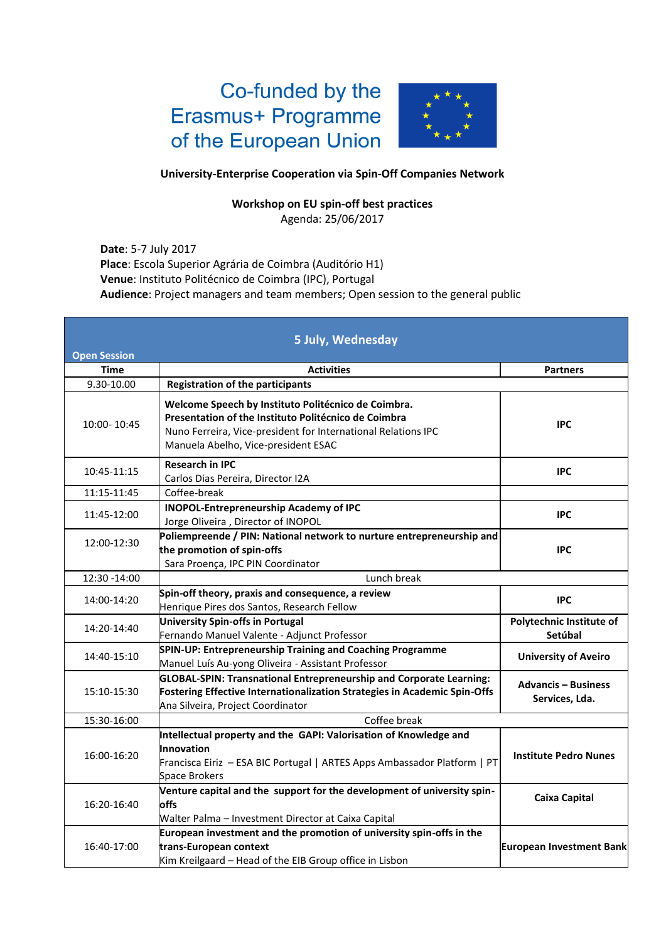## Co-funded by the Erasmus+ Programme of the European Union



## **University-Enterprise Cooperation via Spin-Off Companies Network**

## **Workshop on EU spin-off best practices**

Agenda: 25/06/2017

**Date**: 5-7 July 2017 **Place**: Escola Superior Agrária de Coimbra (Auditório H1) **Venue**: Instituto Politécnico de Coimbra (IPC), Portugal **Audience**: Project managers and team members; Open session to the general public

|                     | 5 July, Wednesday                                                                                                                                                                                                   |                                              |
|---------------------|---------------------------------------------------------------------------------------------------------------------------------------------------------------------------------------------------------------------|----------------------------------------------|
| <b>Open Session</b> |                                                                                                                                                                                                                     |                                              |
| <b>Time</b>         | <b>Activities</b>                                                                                                                                                                                                   | <b>Partners</b>                              |
| 9.30-10.00          | <b>Registration of the participants</b>                                                                                                                                                                             |                                              |
| 10:00-10:45         | Welcome Speech by Instituto Politécnico de Coimbra.<br>Presentation of the Instituto Politécnico de Coimbra<br>Nuno Ferreira, Vice-president for International Relations IPC<br>Manuela Abelho, Vice-president ESAC | <b>IPC</b>                                   |
| 10:45-11:15         | <b>Research in IPC</b><br>Carlos Dias Pereira, Director I2A                                                                                                                                                         | <b>IPC</b>                                   |
| 11:15-11:45         | Coffee-break                                                                                                                                                                                                        |                                              |
| 11:45-12:00         | <b>INOPOL-Entrepreneurship Academy of IPC</b><br>Jorge Oliveira, Director of INOPOL                                                                                                                                 | <b>IPC</b>                                   |
| 12:00-12:30         | Poliempreende / PIN: National network to nurture entrepreneurship and<br>the promotion of spin-offs<br>Sara Proença, IPC PIN Coordinator                                                                            | <b>IPC</b>                                   |
| 12:30 -14:00        | Lunch break                                                                                                                                                                                                         |                                              |
| 14:00-14:20         | Spin-off theory, praxis and consequence, a review<br>Henrique Pires dos Santos, Research Fellow                                                                                                                     | <b>IPC</b>                                   |
| 14:20-14:40         | University Spin-offs in Portugal<br>Fernando Manuel Valente - Adjunct Professor                                                                                                                                     | Polytechnic Institute of<br>Setúbal          |
| 14:40-15:10         | SPIN-UP: Entrepreneurship Training and Coaching Programme<br>Manuel Luís Au-yong Oliveira - Assistant Professor                                                                                                     | <b>University of Aveiro</b>                  |
| 15:10-15:30         | GLOBAL-SPIN: Transnational Entrepreneurship and Corporate Learning:<br>Fostering Effective Internationalization Strategies in Academic Spin-Offs<br>Ana Silveira, Project Coordinator                               | <b>Advancis - Business</b><br>Services, Lda. |
| 15:30-16:00         | Coffee break                                                                                                                                                                                                        |                                              |
| 16:00-16:20         | Intellectual property and the GAPI: Valorisation of Knowledge and<br>Innovation<br>Francisca Eiriz - ESA BIC Portugal   ARTES Apps Ambassador Platform   PT<br><b>Space Brokers</b>                                 | <b>Institute Pedro Nunes</b>                 |
| 16:20-16:40         | Venture capital and the support for the development of university spin-<br>offs<br>Walter Palma - Investment Director at Caixa Capital                                                                              | <b>Caixa Capital</b>                         |
| 16:40-17:00         | European investment and the promotion of university spin-offs in the<br>trans-European context<br>Kim Kreilgaard - Head of the EIB Group office in Lisbon                                                           | <b>European Investment Bank</b>              |